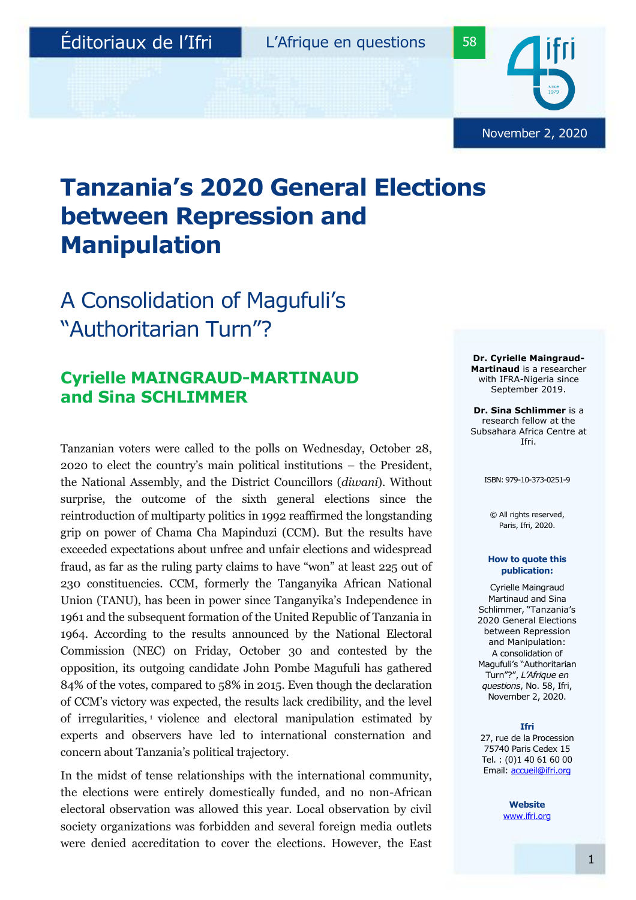November 2, 2020

# **Tanzania's 2020 General Elections between Repression and Manipulation**

## A Consolidation of Magufuli's "Authoritarian Turn"?

## **Cyrielle MAINGRAUD-MARTINAUD and Sina SCHLIMMER**

Tanzanian voters were called to the polls on Wednesday, October 28, 2020 to elect the country's main political institutions – the President, the National Assembly, and the District Councillors (*diwani*). Without surprise, the outcome of the sixth general elections since the reintroduction of multiparty politics in 1992 reaffirmed the longstanding grip on power of Chama Cha Mapinduzi (CCM). But the results have exceeded expectations about unfree and unfair elections and widespread fraud, as far as the ruling party claims to have "won" at least 225 out of 230 constituencies. CCM, formerly the Tanganyika African National Union (TANU), has been in power since Tanganyika's Independence in 1961 and the subsequent formation of the United Republic of Tanzania in 1964. According to the results announced by the National Electoral Commission (NEC) on Friday, October 30 and contested by the opposition, its outgoing candidate John Pombe Magufuli has gathered 84% of the votes, compared to 58% in 2015. Even though the declaration of CCM's victory was expected, the results lack credibility, and the level of irregularities, <sup>1</sup> violence and electoral manipulation estimated by experts and observers have led to international consternation and concern about Tanzania's political trajectory.

In the midst of tense relationships with the international community, the elections were entirely domestically funded, and no non-African electoral observation was allowed this year. Local observation by civil society organizations was forbidden and several foreign media outlets were denied accreditation to cover the elections. However, the East

**Dr. Cyrielle Maingraud-Martinaud** is a researcher with IFRA-Nigeria since September 2019.

**Dr. Sina Schlimmer** is a research fellow at the Subsahara Africa Centre at Ifri.

ISBN: 979-10-373-0251-9

© All rights reserved, Paris, Ifri, 2020.

#### **How to quote this publication:**

Cyrielle Maingraud Martinaud and Sina Schlimmer, "Tanzania's 2020 General Elections between Repression and Manipulation: A consolidation of Magufuli's "Authoritarian Turn"?", *L'Afrique en questions*, No. 58, Ifri, November 2, 2020.

#### **Ifri**

27, rue de la Procession 75740 Paris Cedex 15 Tel. : (0)1 40 61 60 00 Email: [accueil@ifri.org](mailto:accueil@ifri.org)

> **Website** [www.ifri.org](http://www.ifri.org/)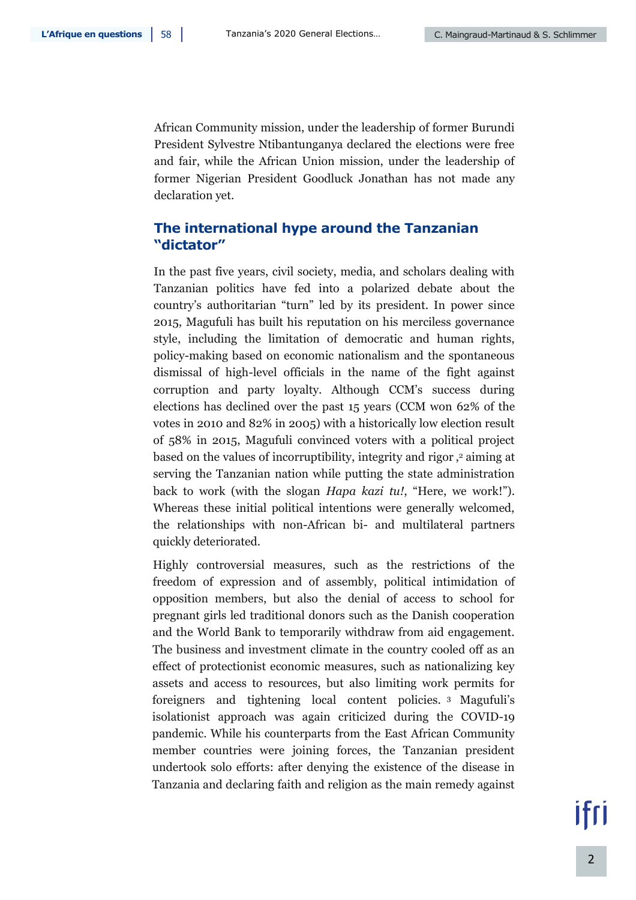African Community mission, under the leadership of former Burundi President Sylvestre Ntibantunganya declared the elections were free and fair, while the African Union mission, under the leadership of former Nigerian President Goodluck Jonathan has not made any declaration yet.

## **The international hype around the Tanzanian "dictator"**

In the past five years, civil society, media, and scholars dealing with Tanzanian politics have fed into a polarized debate about the country's authoritarian "turn" led by its president. In power since 2015, Magufuli has built his reputation on his merciless governance style, including the limitation of democratic and human rights, policy-making based on economic nationalism and the spontaneous dismissal of high-level officials in the name of the fight against corruption and party loyalty. Although CCM's success during elections has declined over the past 15 years (CCM won 62% of the votes in 2010 and 82% in 2005) with a historically low election result of 58% in 2015, Magufuli convinced voters with a political project based on the values of incorruptibility, integrity and rigor , <sup>2</sup> aiming at serving the Tanzanian nation while putting the state administration back to work (with the slogan *Hapa kazi tu!*, "Here, we work!"). Whereas these initial political intentions were generally welcomed, the relationships with non-African bi- and multilateral partners quickly deteriorated.

Highly controversial measures, such as the restrictions of the freedom of expression and of assembly, political intimidation of opposition members, but also the denial of access to school for pregnant girls led traditional donors such as the Danish cooperation and the World Bank to temporarily withdraw from aid engagement. The business and investment climate in the country cooled off as an effect of protectionist economic measures, such as nationalizing key assets and access to resources, but also limiting work permits for foreigners and tightening local content policies. <sup>3</sup> Magufuli's isolationist approach was again criticized during the COVID-19 pandemic. While his counterparts from the East African Community member countries were joining forces, the Tanzanian president undertook solo efforts: after denying the existence of the disease in Tanzania and declaring faith and religion as the main remedy against

ifri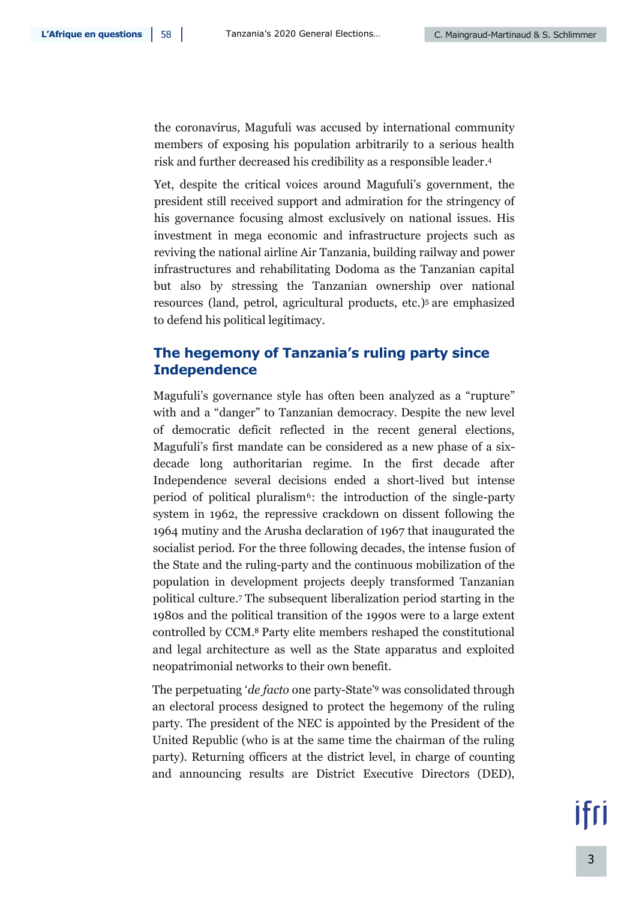the coronavirus, Magufuli was accused by international community members of exposing his population arbitrarily to a serious health risk and further decreased his credibility as a responsible leader. 4

Yet, despite the critical voices around Magufuli's government, the president still received support and admiration for the stringency of his governance focusing almost exclusively on national issues. His investment in mega economic and infrastructure projects such as reviving the national airline Air Tanzania, building railway and power infrastructures and rehabilitating Dodoma as the Tanzanian capital but also by stressing the Tanzanian ownership over national resources (land, petrol, agricultural products, etc.)<sup>5</sup> are emphasized to defend his political legitimacy.

## **The hegemony of Tanzania's ruling party since Independence**

Magufuli's governance style has often been analyzed as a "rupture" with and a "danger" to Tanzanian democracy. Despite the new level of democratic deficit reflected in the recent general elections, Magufuli's first mandate can be considered as a new phase of a sixdecade long authoritarian regime. In the first decade after Independence several decisions ended a short-lived but intense period of political pluralism<sup>6</sup>: the introduction of the single-party system in 1962, the repressive crackdown on dissent following the 1964 mutiny and the Arusha declaration of 1967 that inaugurated the socialist period. For the three following decades, the intense fusion of the State and the ruling-party and the continuous mobilization of the population in development projects deeply transformed Tanzanian political culture. <sup>7</sup> The subsequent liberalization period starting in the 1980s and the political transition of the 1990s were to a large extent controlled by CCM. <sup>8</sup> Party elite members reshaped the constitutional and legal architecture as well as the State apparatus and exploited neopatrimonial networks to their own benefit.

The perpetuating '*de facto* one party-State' <sup>9</sup> was consolidated through an electoral process designed to protect the hegemony of the ruling party. The president of the NEC is appointed by the President of the United Republic (who is at the same time the chairman of the ruling party). Returning officers at the district level, in charge of counting and announcing results are District Executive Directors (DED),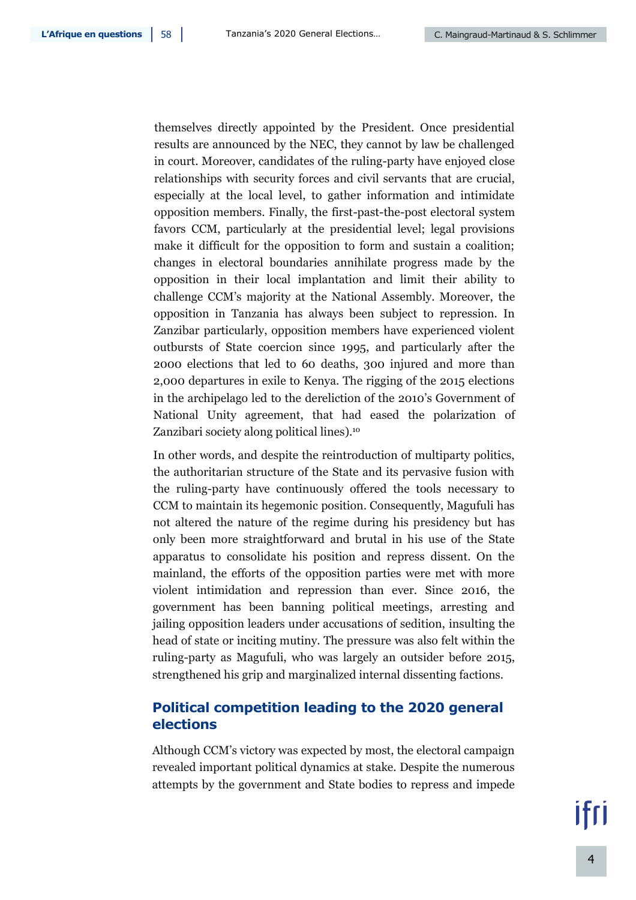themselves directly appointed by the President. Once presidential results are announced by the NEC, they cannot by law be challenged in court. Moreover, candidates of the ruling-party have enjoyed close relationships with security forces and civil servants that are crucial, especially at the local level, to gather information and intimidate opposition members. Finally, the first-past-the-post electoral system favors CCM, particularly at the presidential level; legal provisions make it difficult for the opposition to form and sustain a coalition; changes in electoral boundaries annihilate progress made by the opposition in their local implantation and limit their ability to challenge CCM's majority at the National Assembly. Moreover, the opposition in Tanzania has always been subject to repression. In Zanzibar particularly, opposition members have experienced violent outbursts of State coercion since 1995, and particularly after the 2000 elections that led to 60 deaths, 300 injured and more than 2,000 departures in exile to Kenya. The rigging of the 2015 elections in the archipelago led to the dereliction of the 2010's Government of National Unity agreement, that had eased the polarization of Zanzibari society along political lines). 10

In other words, and despite the reintroduction of multiparty politics, the authoritarian structure of the State and its pervasive fusion with the ruling-party have continuously offered the tools necessary to CCM to maintain its hegemonic position. Consequently, Magufuli has not altered the nature of the regime during his presidency but has only been more straightforward and brutal in his use of the State apparatus to consolidate his position and repress dissent. On the mainland, the efforts of the opposition parties were met with more violent intimidation and repression than ever. Since 2016, the government has been banning political meetings, arresting and jailing opposition leaders under accusations of sedition, insulting the head of state or inciting mutiny. The pressure was also felt within the ruling-party as Magufuli, who was largely an outsider before 2015, strengthened his grip and marginalized internal dissenting factions.

## **Political competition leading to the 2020 general elections**

Although CCM's victory was expected by most, the electoral campaign revealed important political dynamics at stake. Despite the numerous attempts by the government and State bodies to repress and impede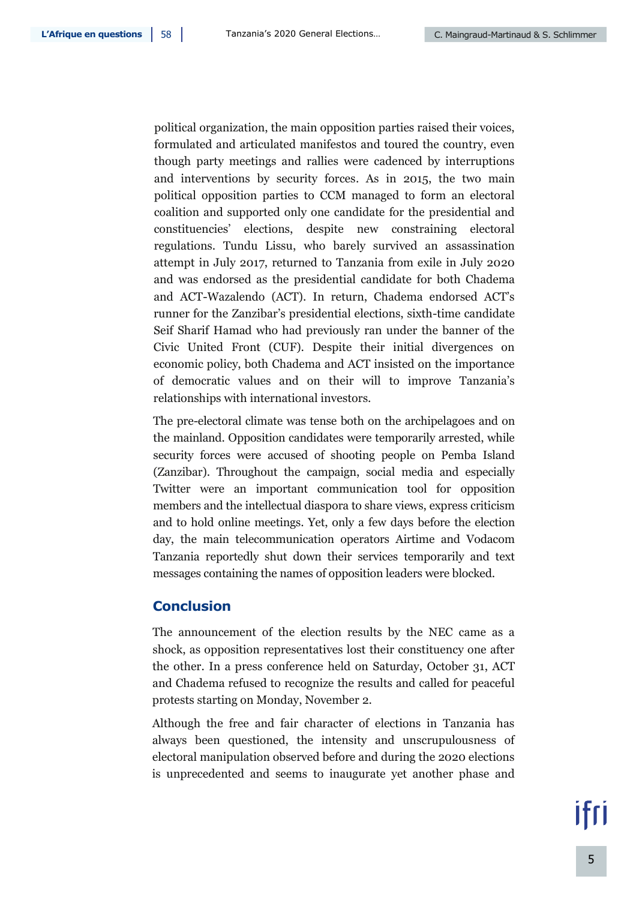political organization, the main opposition parties raised their voices, formulated and articulated manifestos and toured the country, even though party meetings and rallies were cadenced by interruptions and interventions by security forces. As in 2015, the two main political opposition parties to CCM managed to form an electoral coalition and supported only one candidate for the presidential and constituencies' elections, despite new constraining electoral regulations. Tundu Lissu, who barely survived an assassination attempt in July 2017, returned to Tanzania from exile in July 2020 and was endorsed as the presidential candidate for both Chadema and ACT-Wazalendo (ACT). In return, Chadema endorsed ACT's runner for the Zanzibar's presidential elections, sixth-time candidate Seif Sharif Hamad who had previously ran under the banner of the Civic United Front (CUF). Despite their initial divergences on economic policy, both Chadema and ACT insisted on the importance of democratic values and on their will to improve Tanzania's relationships with international investors.

The pre-electoral climate was tense both on the archipelagoes and on the mainland. Opposition candidates were temporarily arrested, while security forces were accused of shooting people on Pemba Island (Zanzibar). Throughout the campaign, social media and especially Twitter were an important communication tool for opposition members and the intellectual diaspora to share views, express criticism and to hold online meetings. Yet, only a few days before the election day, the main telecommunication operators Airtime and Vodacom Tanzania reportedly shut down their services temporarily and text messages containing the names of opposition leaders were blocked.

### **Conclusion**

The announcement of the election results by the NEC came as a shock, as opposition representatives lost their constituency one after the other. In a press conference held on Saturday, October 31, ACT and Chadema refused to recognize the results and called for peaceful protests starting on Monday, November 2.

Although the free and fair character of elections in Tanzania has always been questioned, the intensity and unscrupulousness of electoral manipulation observed before and during the 2020 elections is unprecedented and seems to inaugurate yet another phase and